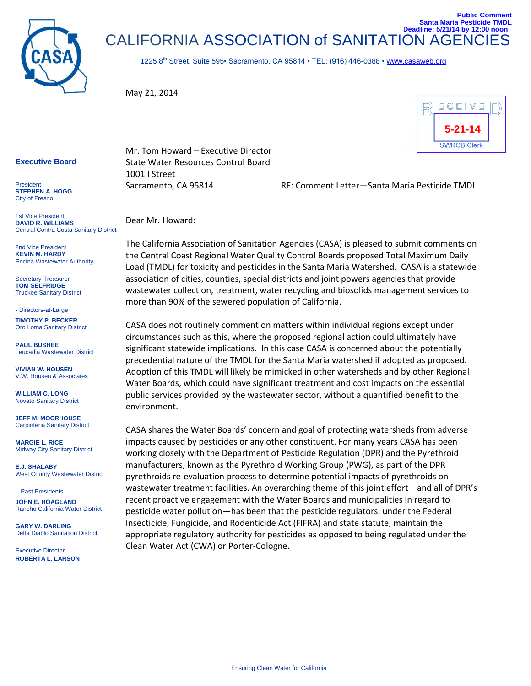

CALIFORNIA ASSOCIATION of SANITATION AGENCI **Santa Maria Pesticide TMDL Deadline: 5/21/14 by 12:00 noon** 

1225 8<sup>th</sup> Street, Suite 595• Sacramento, CA 95814 • TEL: (916) 446-0388 • [www.casaweb.org](http://www.casaweb.org/)

May 21, 2014



**Public Comment**

## **Executive Board**

**President STEPHEN A. HOGG** City of Fresno

1st Vice President **DAVID R. WILLIAMS** Central Contra Costa Sanitary District

2nd Vice President **KEVIN M. HARDY** Encina Wastewater Authority

Secretary-Treasurer **TOM SELFRIDGE** Truckee Sanitary District

- Directors-at-Large

**TIMOTHY P. BECKER** Oro Loma Sanitary District

**PAUL BUSHEE** Leucadia Wastewater District

**VIVIAN W. HOUSEN** V.W. Housen & Associates

**WILLIAM C. LONG** Novato Sanitary District

**JEFF M. MOORHOUSE**  Carpinteria Sanitary District

**MARGIE L. RICE** Midway City Sanitary District

**E.J. SHALABY** West County Wastewater District

- Past Presidents **JOHN E. HOAGLAND** Rancho California Water District

**GARY W. DARLING** Delta Diablo Sanitation District

Executive Director **ROBERTA L. LARSON** Mr. Tom Howard – Executive Director State Water Resources Control Board 1001 I Street

Sacramento, CA 95814 RE: Comment Letter—Santa Maria Pesticide TMDL

Dear Mr. Howard:

The California Association of Sanitation Agencies (CASA) is pleased to submit comments on the Central Coast Regional Water Quality Control Boards proposed Total Maximum Daily Load (TMDL) for toxicity and pesticides in the Santa Maria Watershed. CASA is a statewide association of cities, counties, special districts and joint powers agencies that provide wastewater collection, treatment, water recycling and biosolids management services to more than 90% of the sewered population of California.

CASA does not routinely comment on matters within individual regions except under circumstances such as this, where the proposed regional action could ultimately have significant statewide implications. In this case CASA is concerned about the potentially precedential nature of the TMDL for the Santa Maria watershed if adopted as proposed. Adoption of this TMDL will likely be mimicked in other watersheds and by other Regional Water Boards, which could have significant treatment and cost impacts on the essential public services provided by the wastewater sector, without a quantified benefit to the environment.

CASA shares the Water Boards' concern and goal of protecting watersheds from adverse impacts caused by pesticides or any other constituent. For many years CASA has been working closely with the Department of Pesticide Regulation (DPR) and the Pyrethroid manufacturers, known as the Pyrethroid Working Group (PWG), as part of the DPR pyrethroids re-evaluation process to determine potential impacts of pyrethroids on wastewater treatment facilities. An overarching theme of this joint effort—and all of DPR's recent proactive engagement with the Water Boards and municipalities in regard to pesticide water pollution—has been that the pesticide regulators, under the Federal Insecticide, Fungicide, and Rodenticide Act (FIFRA) and state statute, maintain the appropriate regulatory authority for pesticides as opposed to being regulated under the Clean Water Act (CWA) or Porter-Cologne.